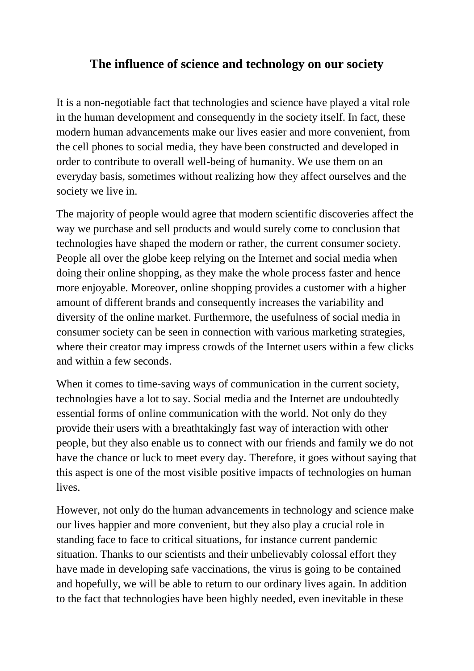## **The influence of science and technology on our society**

It is a non-negotiable fact that technologies and science have played a vital role in the human development and consequently in the society itself. In fact, these modern human advancements make our lives easier and more convenient, from the cell phones to social media, they have been constructed and developed in order to contribute to overall well-being of humanity. We use them on an everyday basis, sometimes without realizing how they affect ourselves and the society we live in.

The majority of people would agree that modern scientific discoveries affect the way we purchase and sell products and would surely come to conclusion that technologies have shaped the modern or rather, the current consumer society. People all over the globe keep relying on the Internet and social media when doing their online shopping, as they make the whole process faster and hence more enjoyable. Moreover, online shopping provides a customer with a higher amount of different brands and consequently increases the variability and diversity of the online market. Furthermore, the usefulness of social media in consumer society can be seen in connection with various marketing strategies, where their creator may impress crowds of the Internet users within a few clicks and within a few seconds.

When it comes to time-saving ways of communication in the current society, technologies have a lot to say. Social media and the Internet are undoubtedly essential forms of online communication with the world. Not only do they provide their users with a breathtakingly fast way of interaction with other people, but they also enable us to connect with our friends and family we do not have the chance or luck to meet every day. Therefore, it goes without saying that this aspect is one of the most visible positive impacts of technologies on human lives.

However, not only do the human advancements in technology and science make our lives happier and more convenient, but they also play a crucial role in standing face to face to critical situations, for instance current pandemic situation. Thanks to our scientists and their unbelievably colossal effort they have made in developing safe vaccinations, the virus is going to be contained and hopefully, we will be able to return to our ordinary lives again. In addition to the fact that technologies have been highly needed, even inevitable in these